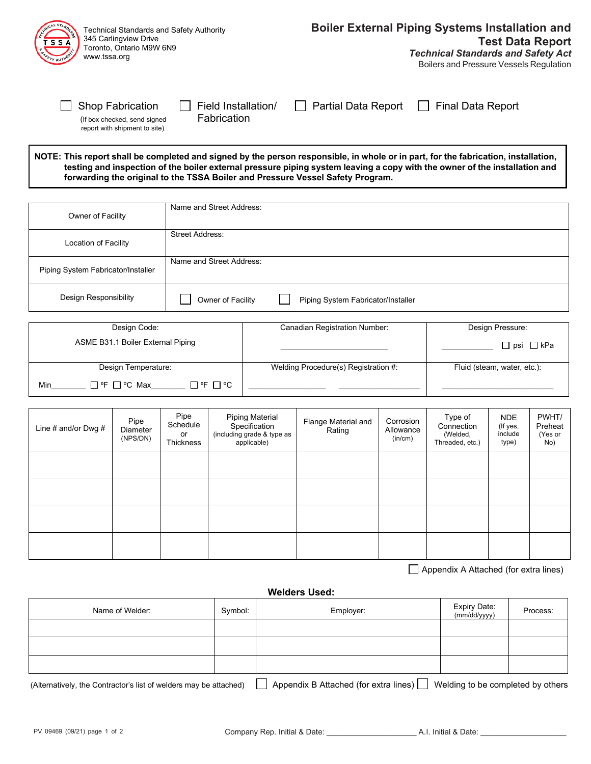| Technical Standards and Safety Authority<br>345 Carlingview Drive<br>Toronto, Ontario M9W 6N9<br>www.tssa.org |                                                                                |                     | <b>Boiler External Piping Systems Installation and</b><br><b>Test Data Report</b><br><b>Technical Standards and Safety Act</b><br>Boilers and Pressure Vessels Regulation                                                                                        |
|---------------------------------------------------------------------------------------------------------------|--------------------------------------------------------------------------------|---------------------|------------------------------------------------------------------------------------------------------------------------------------------------------------------------------------------------------------------------------------------------------------------|
| <b>Shop Fabrication</b><br>(If box checked, send signed<br>report with shipment to site)                      | Field Installation/<br>Fabrication                                             | Partial Data Report | <b>Final Data Report</b>                                                                                                                                                                                                                                         |
|                                                                                                               | forwarding the original to the TSSA Boiler and Pressure Vessel Safety Program. |                     | NOTE: This report shall be completed and signed by the person responsible, in whole or in part, for the fabrication, installation,<br>testing and inspection of the boiler external pressure piping system leaving a copy with the owner of the installation and |
| Owner of Facility                                                                                             | Name and Street Address:                                                       |                     |                                                                                                                                                                                                                                                                  |
| Location of Facility                                                                                          | <b>Street Address:</b>                                                         |                     |                                                                                                                                                                                                                                                                  |
| Piping System Fabricator/Installer                                                                            | Name and Street Address:                                                       |                     |                                                                                                                                                                                                                                                                  |

| Design Code:                            | <b>Canadian Registration Number:</b> | Design Pressure:            |
|-----------------------------------------|--------------------------------------|-----------------------------|
| ASME B31.1 Boiler External Piping       |                                      | □ psi □ kPa                 |
| Design Temperature:                     | Welding Procedure(s) Registration #: | Fluid (steam, water, etc.): |
| Π℉ Π℃<br>$\Box$ °F $\Box$ °C Max<br>Min |                                      |                             |

Design Responsibility **Design Responsibility** Owner of Facility **Piping System Fabricator/Installer** 

| Line # and/or Dwg $#$ | Pipe<br>Diameter<br>(NPS/DN) | Pipe<br>Schedule<br>or<br>Thickness | <b>Piping Material</b><br>Specification<br>(including grade & type as<br>applicable) | Flange Material and<br>Rating | Corrosion<br>Allowance<br>(in/cm) | Type of<br>Connection<br>(Welded,<br>Threaded, etc.) | <b>NDE</b><br>(If yes,<br>include<br>type) | PWHT/<br>Preheat<br>(Yes or<br>No) |
|-----------------------|------------------------------|-------------------------------------|--------------------------------------------------------------------------------------|-------------------------------|-----------------------------------|------------------------------------------------------|--------------------------------------------|------------------------------------|
|                       |                              |                                     |                                                                                      |                               |                                   |                                                      |                                            |                                    |
|                       |                              |                                     |                                                                                      |                               |                                   |                                                      |                                            |                                    |
|                       |                              |                                     |                                                                                      |                               |                                   |                                                      |                                            |                                    |
|                       |                              |                                     |                                                                                      |                               |                                   |                                                      |                                            |                                    |

Appendix A Attached (for extra lines)

#### **Welders Used:**

| Name of Welder: | Symbol: | Employer:    | Expiry Date:<br>(mm/dd/yyyy) | Process: |
|-----------------|---------|--------------|------------------------------|----------|
|                 |         |              |                              |          |
|                 |         |              |                              |          |
|                 |         |              |                              |          |
|                 |         | ____<br>____ |                              |          |

(Alternatively, the Contractor's list of welders may be attached)  $\Box$  Appendix B Attached (for extra lines)  $\Box$  Welding to be completed by others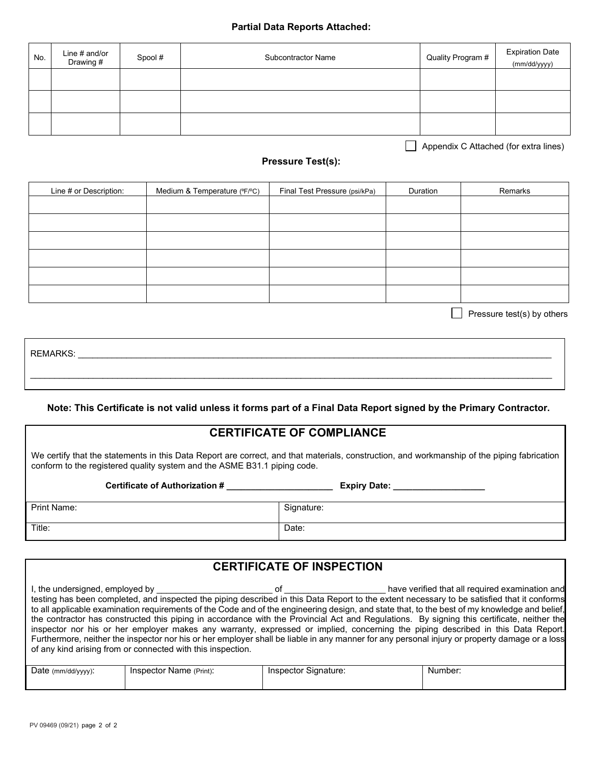#### **Partial Data Reports Attached:**

| No. | Line # and/or<br>Drawing # | Spool # | <b>Subcontractor Name</b> | Quality Program # | <b>Expiration Date</b><br>(mm/dd/yyyy) |
|-----|----------------------------|---------|---------------------------|-------------------|----------------------------------------|
|     |                            |         |                           |                   |                                        |
|     |                            |         |                           |                   |                                        |
|     |                            |         |                           |                   |                                        |

Appendix C Attached (for extra lines)

### **Pressure Test(s):**

| Line # or Description: | Medium & Temperature (°F/°C) | Final Test Pressure (psi/kPa) | Duration | Remarks |
|------------------------|------------------------------|-------------------------------|----------|---------|
|                        |                              |                               |          |         |
|                        |                              |                               |          |         |
|                        |                              |                               |          |         |
|                        |                              |                               |          |         |
|                        |                              |                               |          |         |
|                        |                              |                               |          |         |

 $\Box$  Pressure test(s) by others

REMARKS: \_\_\_\_\_\_\_\_\_\_\_\_\_\_\_\_\_\_\_\_\_\_\_\_\_\_\_\_\_\_\_\_\_\_\_\_\_\_\_\_\_\_\_\_\_\_\_\_\_\_\_\_\_\_\_\_\_\_\_\_\_\_\_\_\_\_\_\_\_\_\_\_\_\_\_\_\_\_\_\_\_\_\_\_\_\_\_\_\_\_\_\_\_\_\_\_\_\_ \_\_\_\_\_\_\_\_\_\_\_\_\_\_\_\_\_\_\_\_\_\_\_\_\_\_\_\_\_\_\_\_\_\_\_\_\_\_\_\_\_\_\_\_\_\_\_\_\_\_\_\_\_\_\_\_\_\_\_\_\_\_\_\_\_\_\_\_\_\_\_\_\_\_\_\_\_\_\_\_\_\_\_\_\_\_\_\_\_\_\_\_\_\_\_\_\_\_\_\_\_\_\_\_\_\_\_\_

#### **Note: This Certificate is not valid unless it forms part of a Final Data Report signed by the Primary Contractor.**

### **CERTIFICATE OF COMPLIANCE**

We certify that the statements in this Data Report are correct, and that materials, construction, and workmanship of the piping fabrication conform to the registered quality system and the ASME B31.1 piping code.

**Certificate of Authorization # \_\_\_\_\_\_\_\_\_\_\_\_\_\_\_\_\_\_\_\_\_\_ Expiry Date: \_\_\_\_\_\_\_\_\_\_\_\_\_\_\_\_\_\_\_**

| Print Name: | Signature: |
|-------------|------------|
|             |            |
|             |            |
| Title:      | Date:      |
|             |            |
|             |            |

## **CERTIFICATE OF INSPECTION**

| I, the undersigned, employed by                             | ΩŤ | have verified that all required examination and                                                                                               |
|-------------------------------------------------------------|----|-----------------------------------------------------------------------------------------------------------------------------------------------|
|                                                             |    | testing has been completed, and inspected the piping described in this Data Report to the extent necessary to be satisfied that it conforms   |
|                                                             |    | to all applicable examination requirements of the Code and of the engineering design, and state that, to the best of my knowledge and belief, |
|                                                             |    | the contractor has constructed this piping in accordance with the Provincial Act and Regulations. By signing this certificate, neither the    |
|                                                             |    | inspector nor his or her employer makes any warranty, expressed or implied, concerning the piping described in this Data Report.              |
|                                                             |    | Furthermore, neither the inspector nor his or her employer shall be liable in any manner for any personal injury or property damage or a loss |
| of any kind arising from or connected with this inspection. |    |                                                                                                                                               |
|                                                             |    |                                                                                                                                               |

| Date (mm/dd/yyyy): | Inspector Name (Print): | ∵Signature:<br>Inspector | Number: |
|--------------------|-------------------------|--------------------------|---------|
|                    |                         |                          |         |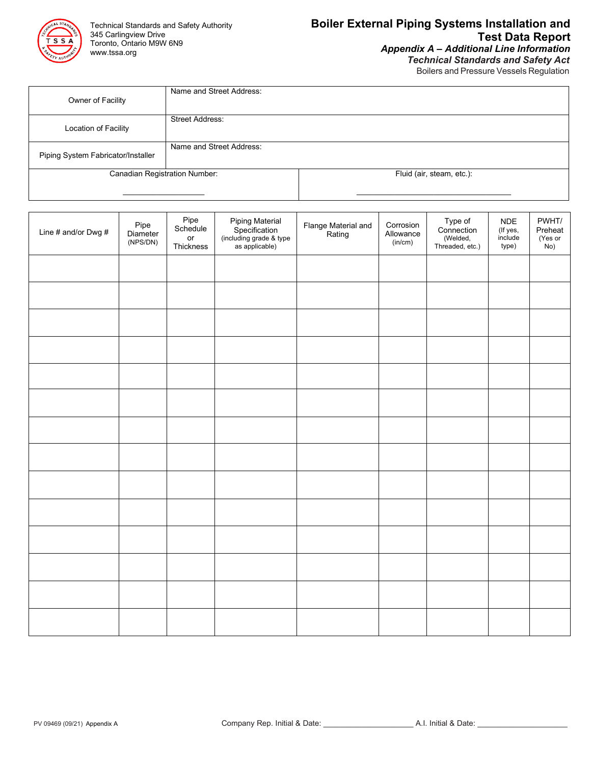

# **Boiler External Piping Systems Installation and Test Data Report**

*Appendix A – Additional Line Information Technical Standards and Safety Act*

Boilers and Pressure Vessels Regulation

| Owner of Facility                  | Name and Street Address: |                           |
|------------------------------------|--------------------------|---------------------------|
| Location of Facility               | <b>Street Address:</b>   |                           |
| Piping System Fabricator/Installer | Name and Street Address: |                           |
| Canadian Registration Number:      |                          | Fluid (air, steam, etc.): |

| Line # and/or Dwg # | Pipe<br>Diameter<br>(NPS/DN) | Pipe<br>Schedule<br>or<br>Thickness | Piping Material<br>Specification<br>(including grade & type<br>as applicable) | Flange Material and<br>Rating | Corrosion<br>Allowance<br>(in/cm) | Type of<br>Connection<br>(Welded,<br>Threaded, etc.) | <b>NDE</b><br>(If yes,<br>include<br>type) | PWHT/<br>Preheat<br>$(Yes or\nNo)$ |
|---------------------|------------------------------|-------------------------------------|-------------------------------------------------------------------------------|-------------------------------|-----------------------------------|------------------------------------------------------|--------------------------------------------|------------------------------------|
|                     |                              |                                     |                                                                               |                               |                                   |                                                      |                                            |                                    |
|                     |                              |                                     |                                                                               |                               |                                   |                                                      |                                            |                                    |
|                     |                              |                                     |                                                                               |                               |                                   |                                                      |                                            |                                    |
|                     |                              |                                     |                                                                               |                               |                                   |                                                      |                                            |                                    |
|                     |                              |                                     |                                                                               |                               |                                   |                                                      |                                            |                                    |
|                     |                              |                                     |                                                                               |                               |                                   |                                                      |                                            |                                    |
|                     |                              |                                     |                                                                               |                               |                                   |                                                      |                                            |                                    |
|                     |                              |                                     |                                                                               |                               |                                   |                                                      |                                            |                                    |
|                     |                              |                                     |                                                                               |                               |                                   |                                                      |                                            |                                    |
|                     |                              |                                     |                                                                               |                               |                                   |                                                      |                                            |                                    |
|                     |                              |                                     |                                                                               |                               |                                   |                                                      |                                            |                                    |
|                     |                              |                                     |                                                                               |                               |                                   |                                                      |                                            |                                    |
|                     |                              |                                     |                                                                               |                               |                                   |                                                      |                                            |                                    |
|                     |                              |                                     |                                                                               |                               |                                   |                                                      |                                            |                                    |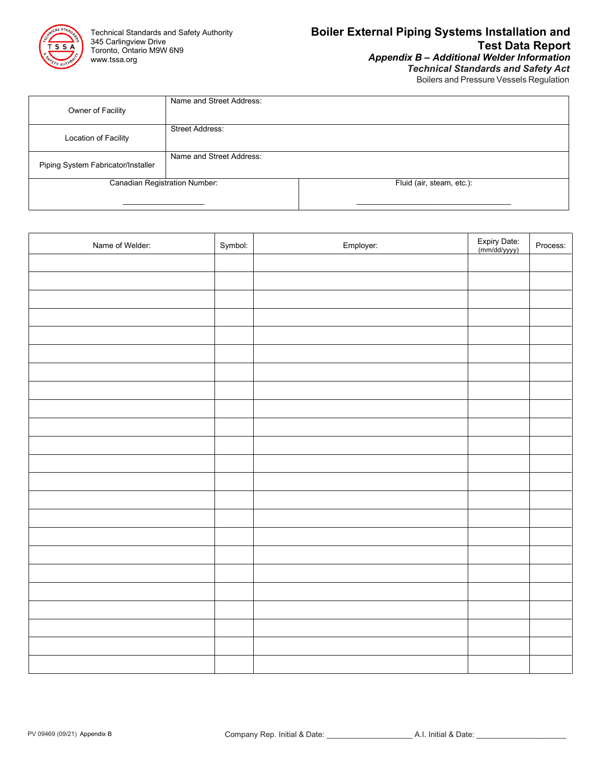

*Technical Standards and Safety Act* Boilers and Pressure Vessels Regulation

| Owner of Facility                  | Name and Street Address: |                           |
|------------------------------------|--------------------------|---------------------------|
| Location of Facility               | <b>Street Address:</b>   |                           |
| Piping System Fabricator/Installer | Name and Street Address: |                           |
| Canadian Registration Number:      |                          | Fluid (air, steam, etc.): |
|                                    |                          |                           |

| Name of Welder: | Symbol: | Employer: | Expiry Date:<br>(mm/dd/yyyy) | Process: |
|-----------------|---------|-----------|------------------------------|----------|
|                 |         |           |                              |          |
|                 |         |           |                              |          |
|                 |         |           |                              |          |
|                 |         |           |                              |          |
|                 |         |           |                              |          |
|                 |         |           |                              |          |
|                 |         |           |                              |          |
|                 |         |           |                              |          |
|                 |         |           |                              |          |
|                 |         |           |                              |          |
|                 |         |           |                              |          |
|                 |         |           |                              |          |
|                 |         |           |                              |          |
|                 |         |           |                              |          |
|                 |         |           |                              |          |
|                 |         |           |                              |          |
|                 |         |           |                              |          |
|                 |         |           |                              |          |
|                 |         |           |                              |          |
|                 |         |           |                              |          |
|                 |         |           |                              |          |
|                 |         |           |                              |          |
|                 |         |           |                              |          |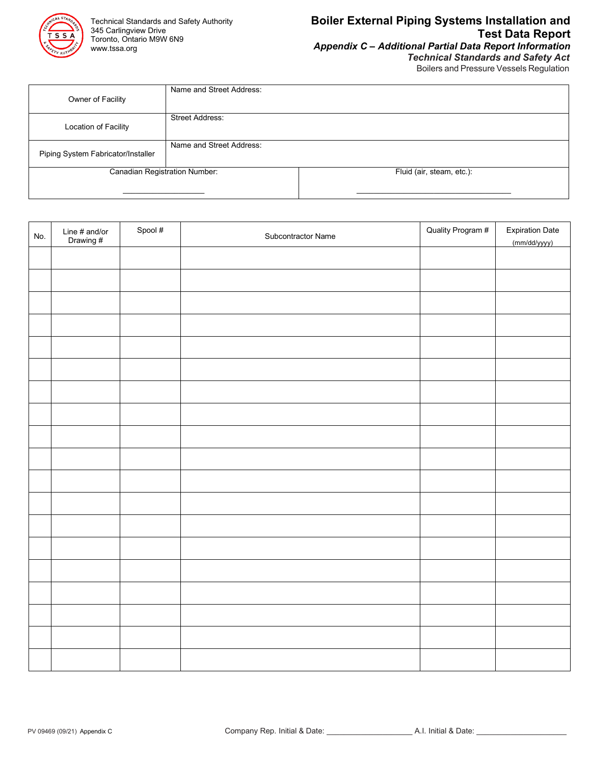

### **Boiler External Piping Systems Installation and Test Data Report***Appendix C – Additional Partial Data Report Information*

*Technical Standards and Safety Act*

Boilers and Pressure Vessels Regulation

| Owner of Facility                  | Name and Street Address: |                           |
|------------------------------------|--------------------------|---------------------------|
| Location of Facility               | <b>Street Address:</b>   |                           |
| Piping System Fabricator/Installer | Name and Street Address: |                           |
| Canadian Registration Number:      |                          | Fluid (air, steam, etc.): |
|                                    |                          |                           |

| No. | Line # and/or<br>Drawing # | Spool # | Subcontractor Name | Quality Program # | <b>Expiration Date</b><br>(mm/dd/yyyy) |
|-----|----------------------------|---------|--------------------|-------------------|----------------------------------------|
|     |                            |         |                    |                   |                                        |
|     |                            |         |                    |                   |                                        |
|     |                            |         |                    |                   |                                        |
|     |                            |         |                    |                   |                                        |
|     |                            |         |                    |                   |                                        |
|     |                            |         |                    |                   |                                        |
|     |                            |         |                    |                   |                                        |
|     |                            |         |                    |                   |                                        |
|     |                            |         |                    |                   |                                        |
|     |                            |         |                    |                   |                                        |
|     |                            |         |                    |                   |                                        |
|     |                            |         |                    |                   |                                        |
|     |                            |         |                    |                   |                                        |
|     |                            |         |                    |                   |                                        |
|     |                            |         |                    |                   |                                        |
|     |                            |         |                    |                   |                                        |
|     |                            |         |                    |                   |                                        |
|     |                            |         |                    |                   |                                        |
|     |                            |         |                    |                   |                                        |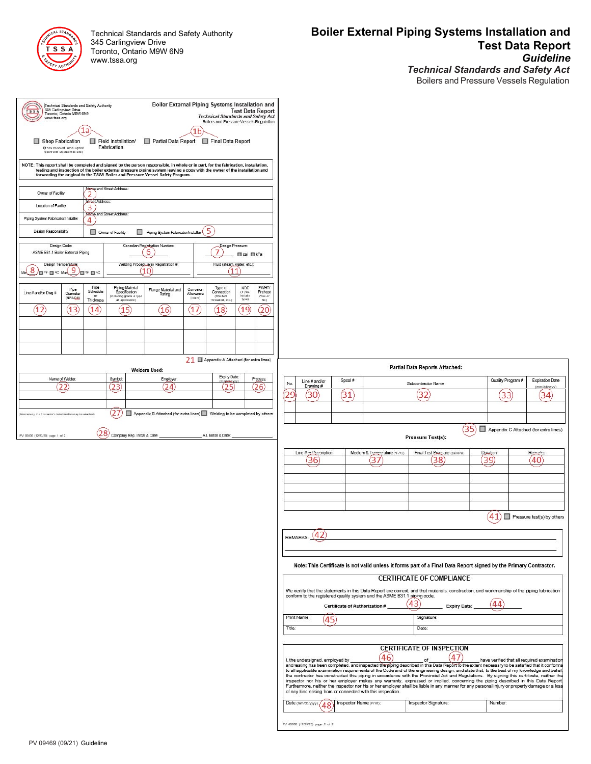| STANDAND<br>CHAICA   |
|----------------------|
| s<br>ς<br>Δ          |
| o,<br><b>FAUTHOR</b> |

Technical Standards and Safety Authority 345 Carlingview Drive Toronto, Ontario M9W 6N9 www.tssa.org

### **Boiler External Piping Systems Installation and Test Data Report** *Guideline Technical Standards and Safety Act*

Boilers and Pressure Vessels Regulation

| <b>TSSA</b><br>www.tssa.org<br>Owner of Facility<br>Location of Facility<br>Piping System Fabricator/Installer<br>Design Responsibility | Technical Standards and Safety Authority<br>345 Carlingview Drive<br>Toronto, Ontario M9VV 6N9<br>Shop Fabrication<br>(If box checked, send signed<br>report with shipment to site) | 1a<br>$\overline{2}$<br>Straet Address:<br>3)<br>4 | Field Installation/<br>Fabrication<br>Name and Street Address:<br>Name and Street Address:<br>Owner of Facility | Boiler External Piping Systems Installation and<br>Partial Data Report Final Data Report<br>NOTE: This report shall be completed and signed by the person responsible, in whole or in part, for the fabrication, installation,<br>testing and inspection of the boiler external pressure piping system leaving a copy with the owner of the installation and<br>forwarding the original to the TSSA Boiler and Pressure Vessel Safety Program.<br>Piping System Fabricator/Installer | 1 <sub>b</sub>       | <b>Technical Standards and Safety Act</b><br>Boilers and Pressure Vessels Regulation<br>5 |                             | <b>Test Data Report</b>   |        |                                                       |                                |                                                                          |                                                                                                                                                                                                                                                                                                                                                                                                                                                                                                                                                                                                                                                                                                                                                                                                             |      |                                                        |                                        |
|-----------------------------------------------------------------------------------------------------------------------------------------|-------------------------------------------------------------------------------------------------------------------------------------------------------------------------------------|----------------------------------------------------|-----------------------------------------------------------------------------------------------------------------|--------------------------------------------------------------------------------------------------------------------------------------------------------------------------------------------------------------------------------------------------------------------------------------------------------------------------------------------------------------------------------------------------------------------------------------------------------------------------------------|----------------------|-------------------------------------------------------------------------------------------|-----------------------------|---------------------------|--------|-------------------------------------------------------|--------------------------------|--------------------------------------------------------------------------|-------------------------------------------------------------------------------------------------------------------------------------------------------------------------------------------------------------------------------------------------------------------------------------------------------------------------------------------------------------------------------------------------------------------------------------------------------------------------------------------------------------------------------------------------------------------------------------------------------------------------------------------------------------------------------------------------------------------------------------------------------------------------------------------------------------|------|--------------------------------------------------------|----------------------------------------|
|                                                                                                                                         | Design Code:                                                                                                                                                                        |                                                    |                                                                                                                 | Canadian Registration Number:<br>6                                                                                                                                                                                                                                                                                                                                                                                                                                                   |                      | 7                                                                                         | Design Pressure:            |                           |        |                                                       |                                |                                                                          |                                                                                                                                                                                                                                                                                                                                                                                                                                                                                                                                                                                                                                                                                                                                                                                                             |      |                                                        |                                        |
| ASME B31.1 Boiler External Piping<br>$\frac{1}{2}$                                                                                      | Design Temperature                                                                                                                                                                  |                                                    |                                                                                                                 | Welding Procedure(s) Registration #:                                                                                                                                                                                                                                                                                                                                                                                                                                                 |                      | Fluid (steam_yater, etc.):                                                                | psi DikPa                   |                           |        |                                                       |                                |                                                                          |                                                                                                                                                                                                                                                                                                                                                                                                                                                                                                                                                                                                                                                                                                                                                                                                             |      |                                                        |                                        |
| $\sqrt{\blacksquare}$ if $\blacksquare$ $\in$ Max $\boxed{9}$                                                                           | Pipe                                                                                                                                                                                | 個年目℃<br>Pipe                                       | Piping Material                                                                                                 | (10)                                                                                                                                                                                                                                                                                                                                                                                                                                                                                 | Corrosion            | Type of                                                                                   | (11<br><b>NDE</b>           | PWHT/                     |        |                                                       |                                |                                                                          |                                                                                                                                                                                                                                                                                                                                                                                                                                                                                                                                                                                                                                                                                                                                                                                                             |      |                                                        |                                        |
| Line # and/or Dwg #                                                                                                                     | Diameter<br>(NPS/DN)                                                                                                                                                                | Schedule<br>or<br>Thickness                        | Specification<br>including grade & type<br>as applicable)                                                       | Flange Material and<br>Rating                                                                                                                                                                                                                                                                                                                                                                                                                                                        | Allowance<br>(in/cm) | Connection<br>(Weided,<br>Threaded, etc.                                                  | (If yes<br>include<br>type) | Preheat<br>(Yes or<br>No) |        |                                                       |                                |                                                                          |                                                                                                                                                                                                                                                                                                                                                                                                                                                                                                                                                                                                                                                                                                                                                                                                             |      |                                                        |                                        |
| (12)                                                                                                                                    | (13)                                                                                                                                                                                | (14)                                               | (15)                                                                                                            | (16)                                                                                                                                                                                                                                                                                                                                                                                                                                                                                 | (17)                 | (18)                                                                                      | (19)                        | (20)                      |        |                                                       |                                |                                                                          |                                                                                                                                                                                                                                                                                                                                                                                                                                                                                                                                                                                                                                                                                                                                                                                                             |      |                                                        |                                        |
|                                                                                                                                         |                                                                                                                                                                                     |                                                    |                                                                                                                 |                                                                                                                                                                                                                                                                                                                                                                                                                                                                                      |                      |                                                                                           |                             |                           |        |                                                       |                                |                                                                          |                                                                                                                                                                                                                                                                                                                                                                                                                                                                                                                                                                                                                                                                                                                                                                                                             |      |                                                        |                                        |
|                                                                                                                                         |                                                                                                                                                                                     |                                                    |                                                                                                                 |                                                                                                                                                                                                                                                                                                                                                                                                                                                                                      |                      | 21 □ Appendix A Attached (for extra lines)                                                |                             |                           |        |                                                       |                                |                                                                          |                                                                                                                                                                                                                                                                                                                                                                                                                                                                                                                                                                                                                                                                                                                                                                                                             |      |                                                        |                                        |
|                                                                                                                                         |                                                                                                                                                                                     |                                                    |                                                                                                                 | <b>Welders Used:</b>                                                                                                                                                                                                                                                                                                                                                                                                                                                                 |                      | Expiry Date                                                                               |                             |                           |        |                                                       |                                |                                                                          | Partial Data Reports Attached:                                                                                                                                                                                                                                                                                                                                                                                                                                                                                                                                                                                                                                                                                                                                                                              |      |                                                        |                                        |
|                                                                                                                                         | Name of Welder:<br>22                                                                                                                                                               |                                                    | Symbol<br>(23)                                                                                                  | (24)                                                                                                                                                                                                                                                                                                                                                                                                                                                                                 | Employer:            |                                                                                           | middly yv<br>(25)           | Process:<br>(26)          | No.    | Line # and/or<br>Drawing #                            | Spool #                        | Subcontractor Name                                                       |                                                                                                                                                                                                                                                                                                                                                                                                                                                                                                                                                                                                                                                                                                                                                                                                             |      | Quality Program #                                      | <b>Expiration Date</b><br>(mm/dd/vvvv) |
|                                                                                                                                         |                                                                                                                                                                                     |                                                    |                                                                                                                 |                                                                                                                                                                                                                                                                                                                                                                                                                                                                                      |                      |                                                                                           |                             |                           | 29     | 30 <sup>°</sup>                                       | (31                            |                                                                          | 32                                                                                                                                                                                                                                                                                                                                                                                                                                                                                                                                                                                                                                                                                                                                                                                                          |      | (33)                                                   | (34)                                   |
| Alternatively, the Contractor's list of welders may be attached)                                                                        |                                                                                                                                                                                     |                                                    | 27                                                                                                              | Appendix B Attached (for extra lines) Welding to be completed by others                                                                                                                                                                                                                                                                                                                                                                                                              |                      |                                                                                           |                             |                           |        |                                                       |                                |                                                                          |                                                                                                                                                                                                                                                                                                                                                                                                                                                                                                                                                                                                                                                                                                                                                                                                             |      |                                                        |                                        |
| PV 00000 (12/23/20) page 1 of 2                                                                                                         |                                                                                                                                                                                     | (28)                                               | Company Rep. Initial & Date:                                                                                    |                                                                                                                                                                                                                                                                                                                                                                                                                                                                                      |                      | A.I. Initial & Date:                                                                      |                             |                           |        |                                                       |                                |                                                                          | Pressure Test(s):                                                                                                                                                                                                                                                                                                                                                                                                                                                                                                                                                                                                                                                                                                                                                                                           | (35) | Appendix C Attached (for extra lines)                  |                                        |
|                                                                                                                                         |                                                                                                                                                                                     |                                                    |                                                                                                                 |                                                                                                                                                                                                                                                                                                                                                                                                                                                                                      |                      |                                                                                           |                             |                           |        | Line # or Description:<br>36)                         |                                | Medium & Temperature (*F/°C)<br>37                                       | Final Test Programe (psikPa)<br>(38)                                                                                                                                                                                                                                                                                                                                                                                                                                                                                                                                                                                                                                                                                                                                                                        |      | Duration<br>39)                                        | Remarks<br>(40)                        |
|                                                                                                                                         |                                                                                                                                                                                     |                                                    |                                                                                                                 |                                                                                                                                                                                                                                                                                                                                                                                                                                                                                      |                      |                                                                                           |                             |                           |        |                                                       |                                |                                                                          |                                                                                                                                                                                                                                                                                                                                                                                                                                                                                                                                                                                                                                                                                                                                                                                                             |      |                                                        |                                        |
|                                                                                                                                         |                                                                                                                                                                                     |                                                    |                                                                                                                 |                                                                                                                                                                                                                                                                                                                                                                                                                                                                                      |                      |                                                                                           |                             |                           |        |                                                       |                                |                                                                          |                                                                                                                                                                                                                                                                                                                                                                                                                                                                                                                                                                                                                                                                                                                                                                                                             |      |                                                        |                                        |
|                                                                                                                                         |                                                                                                                                                                                     |                                                    |                                                                                                                 |                                                                                                                                                                                                                                                                                                                                                                                                                                                                                      |                      |                                                                                           |                             |                           |        |                                                       |                                |                                                                          |                                                                                                                                                                                                                                                                                                                                                                                                                                                                                                                                                                                                                                                                                                                                                                                                             |      |                                                        |                                        |
|                                                                                                                                         |                                                                                                                                                                                     |                                                    |                                                                                                                 |                                                                                                                                                                                                                                                                                                                                                                                                                                                                                      |                      |                                                                                           |                             |                           |        |                                                       |                                |                                                                          |                                                                                                                                                                                                                                                                                                                                                                                                                                                                                                                                                                                                                                                                                                                                                                                                             |      | (41)                                                   | Pressure test(s) by others             |
|                                                                                                                                         |                                                                                                                                                                                     |                                                    |                                                                                                                 |                                                                                                                                                                                                                                                                                                                                                                                                                                                                                      |                      |                                                                                           |                             |                           |        | REMARKS:                                              |                                |                                                                          |                                                                                                                                                                                                                                                                                                                                                                                                                                                                                                                                                                                                                                                                                                                                                                                                             |      |                                                        |                                        |
|                                                                                                                                         |                                                                                                                                                                                     |                                                    |                                                                                                                 |                                                                                                                                                                                                                                                                                                                                                                                                                                                                                      |                      |                                                                                           |                             |                           |        |                                                       |                                |                                                                          |                                                                                                                                                                                                                                                                                                                                                                                                                                                                                                                                                                                                                                                                                                                                                                                                             |      |                                                        |                                        |
|                                                                                                                                         |                                                                                                                                                                                     |                                                    |                                                                                                                 |                                                                                                                                                                                                                                                                                                                                                                                                                                                                                      |                      |                                                                                           |                             |                           |        |                                                       |                                |                                                                          | Note: This Certificate is not valid unless it forms part of a Final Data Report signed by the Primary Contractor.                                                                                                                                                                                                                                                                                                                                                                                                                                                                                                                                                                                                                                                                                           |      |                                                        |                                        |
|                                                                                                                                         |                                                                                                                                                                                     |                                                    |                                                                                                                 |                                                                                                                                                                                                                                                                                                                                                                                                                                                                                      |                      |                                                                                           |                             |                           |        |                                                       |                                |                                                                          | <b>CERTIFICATE OF COMPLIANCE</b><br>We certify that the statements in this Data Report are correct, and that materials, construction, and workmanship of the piping fabrication                                                                                                                                                                                                                                                                                                                                                                                                                                                                                                                                                                                                                             |      |                                                        |                                        |
|                                                                                                                                         |                                                                                                                                                                                     |                                                    |                                                                                                                 |                                                                                                                                                                                                                                                                                                                                                                                                                                                                                      |                      |                                                                                           |                             |                           |        |                                                       | Certificate of Authorization # | conform to the registered quality system and the ASME B31.1 piping code. | 43<br><b>Expiry Date:</b>                                                                                                                                                                                                                                                                                                                                                                                                                                                                                                                                                                                                                                                                                                                                                                                   |      | 44                                                     |                                        |
|                                                                                                                                         |                                                                                                                                                                                     |                                                    |                                                                                                                 |                                                                                                                                                                                                                                                                                                                                                                                                                                                                                      |                      |                                                                                           |                             |                           |        | Print Name:                                           | (45)                           |                                                                          | Signature:                                                                                                                                                                                                                                                                                                                                                                                                                                                                                                                                                                                                                                                                                                                                                                                                  |      |                                                        |                                        |
|                                                                                                                                         |                                                                                                                                                                                     |                                                    |                                                                                                                 |                                                                                                                                                                                                                                                                                                                                                                                                                                                                                      |                      |                                                                                           |                             |                           | Title: |                                                       |                                |                                                                          | Date:                                                                                                                                                                                                                                                                                                                                                                                                                                                                                                                                                                                                                                                                                                                                                                                                       |      |                                                        |                                        |
|                                                                                                                                         |                                                                                                                                                                                     |                                                    |                                                                                                                 |                                                                                                                                                                                                                                                                                                                                                                                                                                                                                      |                      |                                                                                           |                             |                           |        | I, the undersigned, employed by<br>Date (mm/dd/yyyy): | Inspector Name (Print):        | 46<br>of any kind arising from or connected with this inspection.        | <b>CERTIFICATE OF INSPECTION</b><br>47<br>of<br>and testing has been completed, and inspected the piping described in this Data Report to the extent necessary to be satisfied that it conforms<br>to all applicable examination requirements of the Code and of the engineering design, and state that, to the best of my knowledge and belief,<br>the contractor has constructed this piping in accordance with the Provincial Act and Regulations. By signing this certificate, neither the<br>inspector nor his or her employer makes any warranty, expressed or implied, concerning the piping described in this Data Report.<br>Furthermore, neither the inspector nor his or her employer shall be liable in any manner for any personal injury or property damage or a loss<br>Inspector Signature: |      | have verified that all required examination<br>Number: |                                        |
|                                                                                                                                         |                                                                                                                                                                                     |                                                    |                                                                                                                 |                                                                                                                                                                                                                                                                                                                                                                                                                                                                                      |                      |                                                                                           |                             |                           |        | $\overline{AB}$                                       |                                |                                                                          |                                                                                                                                                                                                                                                                                                                                                                                                                                                                                                                                                                                                                                                                                                                                                                                                             |      |                                                        |                                        |

PV 00000 (12/23/20) page 2 of 2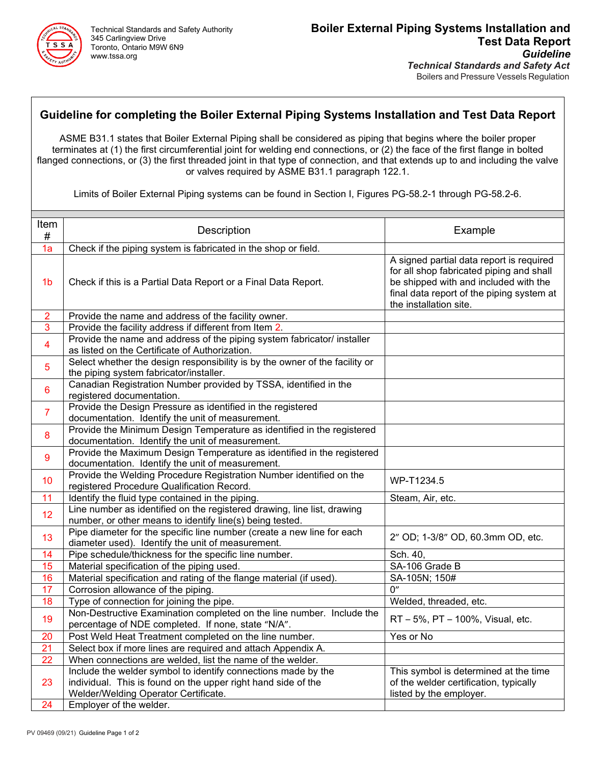

# **Guideline for completing the Boiler External Piping Systems Installation and Test Data Report**

ASME B31.1 states that Boiler External Piping shall be considered as piping that begins where the boiler proper terminates at (1) the first circumferential joint for welding end connections, or (2) the face of the first flange in bolted flanged connections, or (3) the first threaded joint in that type of connection, and that extends up to and including the valve or valves required by ASME B31.1 paragraph 122.1.

Limits of Boiler External Piping systems can be found in Section I, Figures PG-58.2-1 through PG-58.2-6.

| Item<br>#       | Description                                                                                                                                                            | Example                                                                                                                                                                                              |  |  |
|-----------------|------------------------------------------------------------------------------------------------------------------------------------------------------------------------|------------------------------------------------------------------------------------------------------------------------------------------------------------------------------------------------------|--|--|
| 1a              | Check if the piping system is fabricated in the shop or field.                                                                                                         |                                                                                                                                                                                                      |  |  |
| 1 <sub>b</sub>  | Check if this is a Partial Data Report or a Final Data Report.                                                                                                         | A signed partial data report is required<br>for all shop fabricated piping and shall<br>be shipped with and included with the<br>final data report of the piping system at<br>the installation site. |  |  |
| $\overline{c}$  | Provide the name and address of the facility owner.                                                                                                                    |                                                                                                                                                                                                      |  |  |
| 3               | Provide the facility address if different from Item 2.                                                                                                                 |                                                                                                                                                                                                      |  |  |
| 4               | Provide the name and address of the piping system fabricator/ installer<br>as listed on the Certificate of Authorization.                                              |                                                                                                                                                                                                      |  |  |
| 5               | Select whether the design responsibility is by the owner of the facility or<br>the piping system fabricator/installer.                                                 |                                                                                                                                                                                                      |  |  |
| 6               | Canadian Registration Number provided by TSSA, identified in the<br>registered documentation.                                                                          |                                                                                                                                                                                                      |  |  |
| $\overline{7}$  | Provide the Design Pressure as identified in the registered<br>documentation. Identify the unit of measurement.                                                        |                                                                                                                                                                                                      |  |  |
| 8               | Provide the Minimum Design Temperature as identified in the registered<br>documentation. Identify the unit of measurement.                                             |                                                                                                                                                                                                      |  |  |
| 9               | Provide the Maximum Design Temperature as identified in the registered<br>documentation. Identify the unit of measurement.                                             |                                                                                                                                                                                                      |  |  |
| 10              | Provide the Welding Procedure Registration Number identified on the<br>registered Procedure Qualification Record.                                                      | WP-T1234.5                                                                                                                                                                                           |  |  |
| 11              | Identify the fluid type contained in the piping.                                                                                                                       | Steam, Air, etc.                                                                                                                                                                                     |  |  |
| 12              | Line number as identified on the registered drawing, line list, drawing<br>number, or other means to identify line(s) being tested.                                    |                                                                                                                                                                                                      |  |  |
| 13              | Pipe diameter for the specific line number (create a new line for each<br>diameter used). Identify the unit of measurement.                                            | 2" OD; 1-3/8" OD, 60.3mm OD, etc.                                                                                                                                                                    |  |  |
| 14              | Pipe schedule/thickness for the specific line number.                                                                                                                  | Sch. 40,                                                                                                                                                                                             |  |  |
| 15              | Material specification of the piping used.                                                                                                                             | SA-106 Grade B                                                                                                                                                                                       |  |  |
| 16              | Material specification and rating of the flange material (if used).                                                                                                    | SA-105N; 150#                                                                                                                                                                                        |  |  |
| 17              | Corrosion allowance of the piping.                                                                                                                                     | $\overline{0}$                                                                                                                                                                                       |  |  |
| 18              | Type of connection for joining the pipe.                                                                                                                               | Welded, threaded, etc.                                                                                                                                                                               |  |  |
| 19              | Non-Destructive Examination completed on the line number. Include the<br>percentage of NDE completed. If none, state "N/A".                                            | RT - 5%, PT - 100%, Visual, etc.                                                                                                                                                                     |  |  |
| 20              | Post Weld Heat Treatment completed on the line number.                                                                                                                 | Yes or No                                                                                                                                                                                            |  |  |
| 21              | Select box if more lines are required and attach Appendix A.                                                                                                           |                                                                                                                                                                                                      |  |  |
| $\overline{22}$ | When connections are welded, list the name of the welder.                                                                                                              |                                                                                                                                                                                                      |  |  |
| 23              | Include the welder symbol to identify connections made by the<br>individual. This is found on the upper right hand side of the<br>Welder/Welding Operator Certificate. | This symbol is determined at the time<br>of the welder certification, typically<br>listed by the employer.                                                                                           |  |  |
| 24              | Employer of the welder.                                                                                                                                                |                                                                                                                                                                                                      |  |  |